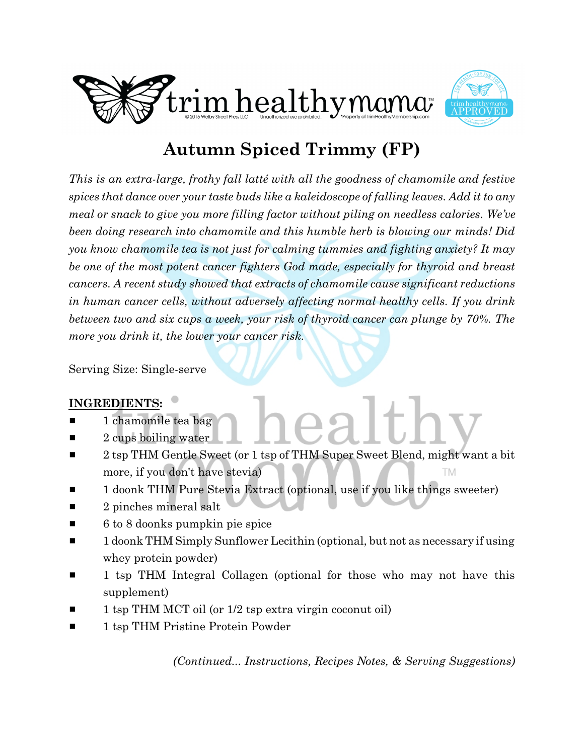



# **Autumn Spiced Trimmy (FP)**

*This is an extra-large, frothy fall latté with all the goodness of chamomile and festive spices that dance over your taste buds like a kaleidoscope of falling leaves. Add it to any meal or snack to give you more filling factor without piling on needless calories. We've been doing research into chamomile and this humble herb is blowing our minds! Did you know chamomile tea is not just for calming tummies and fighting anxiety? It may be one of the most potent cancer fighters God made, especially for thyroid and breast cancers. A recent study showed that extracts of chamomile cause significant reductions in human cancer cells, without adversely affecting normal healthy cells. If you drink between two and six cups a week, your risk of thyroid cancer can plunge by 70%. The more you drink it, the lower your cancer risk.*

Serving Size: Single-serve

# **INGREDIENTS:**

- $\blacksquare$  1 chamomile tea bag
- 2 cups boiling water
- 2 tsp THM Gentle Sweet (or 1 tsp of THM Super Sweet Blend, might want a bit more, if you don't have stevia) **TM**
- 1 doonk THM Pure Stevia Extract (optional, use if you like things sweeter)
- $\blacksquare$  2 pinches mineral salt
- $\blacksquare$  6 to 8 doonks pumpkin pie spice
- $\blacksquare$  1 doonk THM Simply Sunflower Lecithin (optional, but not as necessary if using whey protein powder)
- 1 tsp THM Integral Collagen (optional for those who may not have this supplement)
- 1 tsp THM MCT oil (or  $1/2$  tsp extra virgin coconut oil)
- 1 tsp THM Pristine Protein Powder

*(Continued... Instructions, Recipes Notes, & Serving Suggestions)*